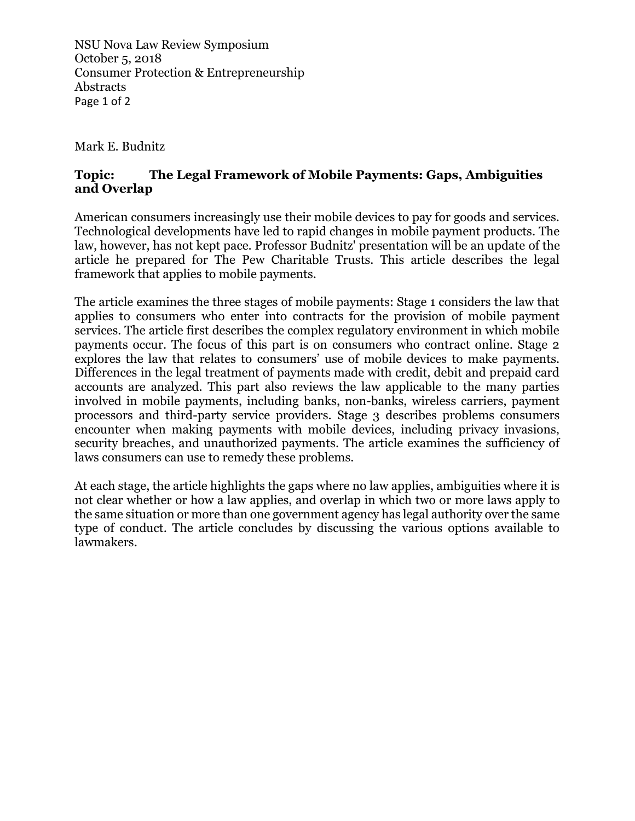NSU Nova Law Review Symposium October 5, 2018 Consumer Protection & Entrepreneurship Abstracts Page 1 of 2

Mark E. Budnitz

## **Topic: The Legal Framework of Mobile Payments: Gaps, Ambiguities and Overlap**

American consumers increasingly use their mobile devices to pay for goods and services. Technological developments have led to rapid changes in mobile payment products. The law, however, has not kept pace. Professor Budnitz' presentation will be an update of the article he prepared for The Pew Charitable Trusts. This article describes the legal framework that applies to mobile payments.

The article examines the three stages of mobile payments: Stage 1 considers the law that applies to consumers who enter into contracts for the provision of mobile payment services. The article first describes the complex regulatory environment in which mobile payments occur. The focus of this part is on consumers who contract online. Stage 2 explores the law that relates to consumers' use of mobile devices to make payments. Differences in the legal treatment of payments made with credit, debit and prepaid card accounts are analyzed. This part also reviews the law applicable to the many parties involved in mobile payments, including banks, non-banks, wireless carriers, payment processors and third-party service providers. Stage 3 describes problems consumers encounter when making payments with mobile devices, including privacy invasions, security breaches, and unauthorized payments. The article examines the sufficiency of laws consumers can use to remedy these problems.

At each stage, the article highlights the gaps where no law applies, ambiguities where it is not clear whether or how a law applies, and overlap in which two or more laws apply to the same situation or more than one government agency has legal authority over the same type of conduct. The article concludes by discussing the various options available to lawmakers.